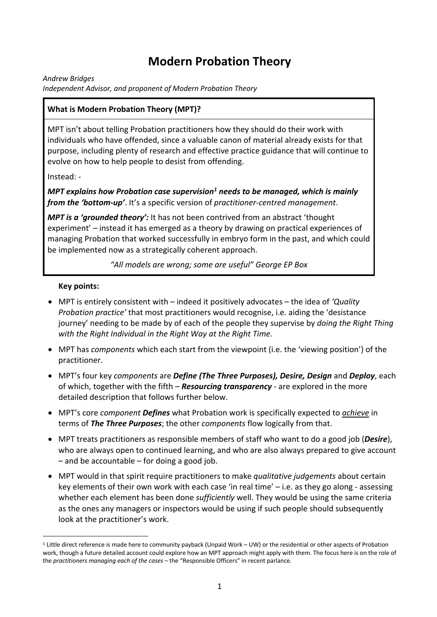# **Modern Probation Theory**

*Andrew Bridges*

*Independent Advisor, and proponent of Modern Probation Theory*

#### **What is Modern Probation Theory (MPT)?**

MPT isn't about telling Probation practitioners how they should do their work with individuals who have offended, since a valuable canon of material already exists for that purpose, including plenty of research and effective practice guidance that will continue to evolve on how to help people to desist from offending.

Instead: -

*MPT explains how Probation case supervision1 needs to be managed, which is mainly from the 'bottom-up'*. It's a specific version of *practitioner-centred management*.

*MPT is a 'grounded theory':* It has not been contrived from an abstract 'thought experiment' – instead it has emerged as a theory by drawing on practical experiences of managing Probation that worked successfully in embryo form in the past, and which could be implemented now as a strategically coherent approach.

*"All models are wrong; some are useful" George EP Box*

#### **Key points:**

- MPT is entirely consistent with indeed it positively advocates the idea of *'Quality Probation practice'* that most practitioners would recognise, i.e. aiding the 'desistance journey' needing to be made by of each of the people they supervise by *doing the Right Thing with the Right Individual in the Right Way at the Right Time.*
- MPT has *components* which each start from the viewpoint (i.e. the 'viewing position') of the practitioner.
- MPT's four key *components* are *Define (The Three Purposes), Desire, Design* and *Deploy*, each of which, together with the fifth – *Resourcing transparency* - are explored in the more detailed description that follows further below.
- MPT's core *component Defines* what Probation work is specifically expected to *achieve* in terms of *The Three Purposes*; the other *components* flow logically from that.
- MPT treats practitioners as responsible members of staff who want to do a good job (*Desire*), who are always open to continued learning, and who are also always prepared to give account – and be accountable – for doing a good job.
- MPT would in that spirit require practitioners to make *qualitative judgements* about certain key elements of their own work with each case 'in real time' – i.e. as they go along - assessing whether each element has been done *sufficiently* well. They would be using the same criteria as the ones any managers or inspectors would be using if such people should subsequently look at the practitioner's work.

<sup>1</sup> Little direct reference is made here to community payback (Unpaid Work – UW) or the residential or other aspects of Probation work, though a future detailed account could explore how an MPT approach might apply with them. The focus here is on the role of the *practitioners managing each of the cases* – the "Responsible Officers" in recent parlance.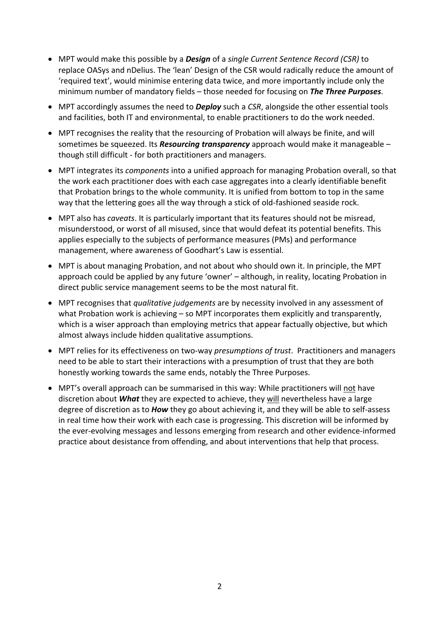- MPT would make this possible by a *Design* of a *single Current Sentence Record (CSR)* to replace OASys and nDelius. The 'lean' Design of the CSR would radically reduce the amount of 'required text', would minimise entering data twice, and more importantly include only the minimum number of mandatory fields – those needed for focusing on *The Three Purposes*.
- MPT accordingly assumes the need to *Deploy* such a *CSR*, alongside the other essential tools and facilities, both IT and environmental, to enable practitioners to do the work needed.
- MPT recognises the reality that the resourcing of Probation will always be finite, and will sometimes be squeezed. Its *Resourcing transparency* approach would make it manageable – though still difficult - for both practitioners and managers.
- MPT integrates its *components* into a unified approach for managing Probation overall, so that the work each practitioner does with each case aggregates into a clearly identifiable benefit that Probation brings to the whole community. It is unified from bottom to top in the same way that the lettering goes all the way through a stick of old-fashioned seaside rock.
- MPT also has *caveats*. It is particularly important that its features should not be misread, misunderstood, or worst of all misused, since that would defeat its potential benefits. This applies especially to the subjects of performance measures (PMs) and performance management, where awareness of Goodhart's Law is essential.
- MPT is about managing Probation, and not about who should own it. In principle, the MPT approach could be applied by any future 'owner' – although, in reality, locating Probation in direct public service management seems to be the most natural fit.
- MPT recognises that *qualitative judgements* are by necessity involved in any assessment of what Probation work is achieving – so MPT incorporates them explicitly and transparently, which is a wiser approach than employing metrics that appear factually objective, but which almost always include hidden qualitative assumptions.
- MPT relies for its effectiveness on two-way *presumptions of trust*. Practitioners and managers need to be able to start their interactions with a presumption of trust that they are both honestly working towards the same ends, notably the Three Purposes.
- MPT's overall approach can be summarised in this way: While practitioners will not have discretion about *What* they are expected to achieve, they will nevertheless have a large degree of discretion as to *How* they go about achieving it, and they will be able to self-assess in real time how their work with each case is progressing. This discretion will be informed by the ever-evolving messages and lessons emerging from research and other evidence-informed practice about desistance from offending, and about interventions that help that process.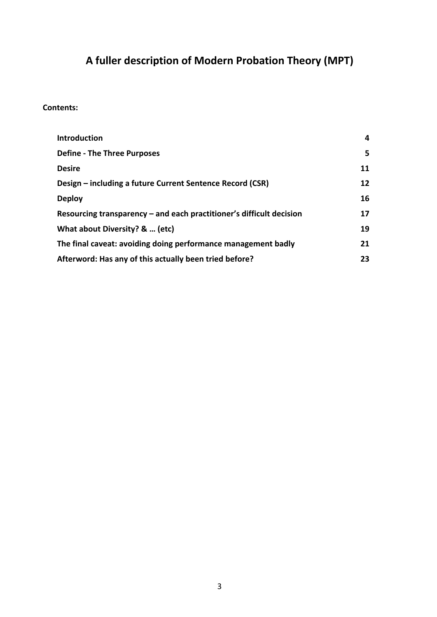# **A fuller description of Modern Probation Theory (MPT)**

#### **Contents:**

| <b>Introduction</b>                                                    | 4                 |
|------------------------------------------------------------------------|-------------------|
| <b>Define - The Three Purposes</b>                                     | 5.                |
| <b>Desire</b>                                                          | 11                |
| Design – including a future Current Sentence Record (CSR)              | $12 \overline{ }$ |
| <b>Deploy</b>                                                          | 16                |
| Resourcing transparency $-$ and each practitioner's difficult decision |                   |
| What about Diversity? &  (etc)                                         |                   |
| The final caveat: avoiding doing performance management badly          |                   |
| Afterword: Has any of this actually been tried before?                 |                   |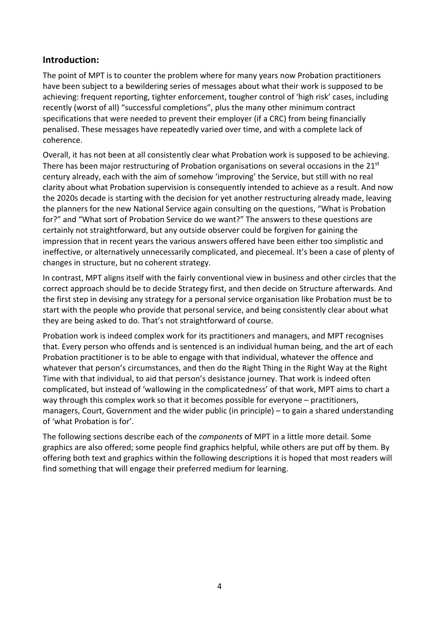### **Introduction:**

The point of MPT is to counter the problem where for many years now Probation practitioners have been subject to a bewildering series of messages about what their work is supposed to be achieving: frequent reporting, tighter enforcement, tougher control of 'high risk' cases, including recently (worst of all) "successful completions", plus the many other minimum contract specifications that were needed to prevent their employer (if a CRC) from being financially penalised. These messages have repeatedly varied over time, and with a complete lack of coherence.

Overall, it has not been at all consistently clear what Probation work is supposed to be achieving. There has been major restructuring of Probation organisations on several occasions in the  $21<sup>st</sup>$ century already, each with the aim of somehow 'improving' the Service, but still with no real clarity about what Probation supervision is consequently intended to achieve as a result. And now the 2020s decade is starting with the decision for yet another restructuring already made, leaving the planners for the new National Service again consulting on the questions, "What is Probation for?" and "What sort of Probation Service do we want?" The answers to these questions are certainly not straightforward, but any outside observer could be forgiven for gaining the impression that in recent years the various answers offered have been either too simplistic and ineffective, or alternatively unnecessarily complicated, and piecemeal. It's been a case of plenty of changes in structure, but no coherent strategy.

In contrast, MPT aligns itself with the fairly conventional view in business and other circles that the correct approach should be to decide Strategy first, and then decide on Structure afterwards. And the first step in devising any strategy for a personal service organisation like Probation must be to start with the people who provide that personal service, and being consistently clear about what they are being asked to do. That's not straightforward of course.

Probation work is indeed complex work for its practitioners and managers, and MPT recognises that. Every person who offends and is sentenced is an individual human being, and the art of each Probation practitioner is to be able to engage with that individual, whatever the offence and whatever that person's circumstances, and then do the Right Thing in the Right Way at the Right Time with that individual, to aid that person's desistance journey. That work is indeed often complicated, but instead of 'wallowing in the complicatedness' of that work, MPT aims to chart a way through this complex work so that it becomes possible for everyone – practitioners, managers, Court, Government and the wider public (in principle) – to gain a shared understanding of 'what Probation is for'.

The following sections describe each of the *components* of MPT in a little more detail. Some graphics are also offered; some people find graphics helpful, while others are put off by them. By offering both text and graphics within the following descriptions it is hoped that most readers will find something that will engage their preferred medium for learning.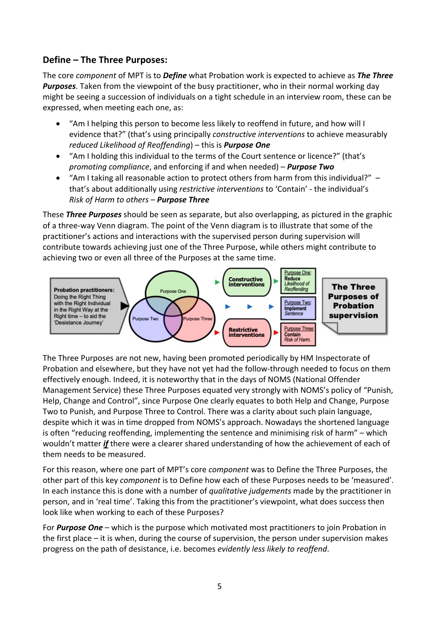## **Define – The Three Purposes:**

The core *component* of MPT is to *Define* what Probation work is expected to achieve as *The Three Purposes*. Taken from the viewpoint of the busy practitioner, who in their normal working day might be seeing a succession of individuals on a tight schedule in an interview room, these can be expressed, when meeting each one, as:

- "Am I helping this person to become less likely to reoffend in future, and how will I evidence that?" (that's using principally *constructive interventions* to achieve measurably *reduced Likelihood of Reoffending*) – this is *Purpose One*
- "Am I holding this individual to the terms of the Court sentence or licence?" (that's *promoting compliance*, and enforcing if and when needed) – *Purpose Two*
- "Am I taking all reasonable action to protect others from harm from this individual?"  $$ that's about additionally using *restrictive interventions* to 'Contain' - the individual's *Risk of Harm to others – Purpose Three*

These *Three Purposes* should be seen as separate, but also overlapping, as pictured in the graphic of a three-way Venn diagram. The point of the Venn diagram is to illustrate that some of the practitioner's actions and interactions with the supervised person during supervision will contribute towards achieving just one of the Three Purpose, while others might contribute to achieving two or even all three of the Purposes at the same time.



The Three Purposes are not new, having been promoted periodically by HM Inspectorate of Probation and elsewhere, but they have not yet had the follow-through needed to focus on them effectively enough. Indeed, it is noteworthy that in the days of NOMS (National Offender Management Service) these Three Purposes equated very strongly with NOMS's policy of "Punish, Help, Change and Control", since Purpose One clearly equates to both Help and Change, Purpose Two to Punish, and Purpose Three to Control. There was a clarity about such plain language, despite which it was in time dropped from NOMS's approach. Nowadays the shortened language is often "reducing reoffending, implementing the sentence and minimising risk of harm" – which wouldn't matter *if* there were a clearer shared understanding of how the achievement of each of them needs to be measured.

For this reason, where one part of MPT's core *component* was to Define the Three Purposes, the other part of this key *component* is to Define how each of these Purposes needs to be 'measured'. In each instance this is done with a number of *qualitative judgements* made by the practitioner in person, and in 'real time'. Taking this from the practitioner's viewpoint, what does success then look like when working to each of these Purposes?

For *Purpose One* – which is the purpose which motivated most practitioners to join Probation in the first place – it is when, during the course of supervision, the person under supervision makes progress on the path of desistance, i.e. becomes *evidently less likely to reoffend*.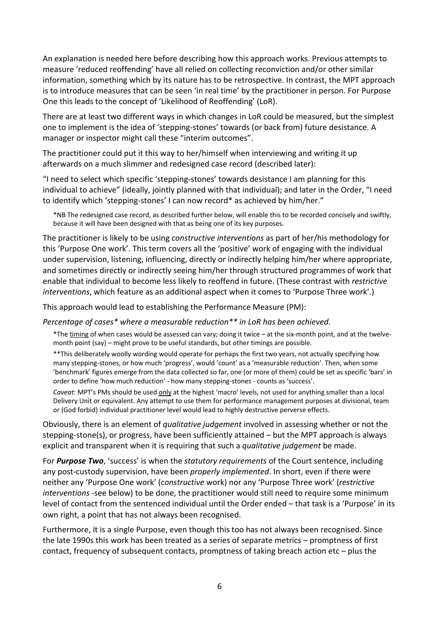An explanation is needed here before describing how this approach works. Previous attempts to measure 'reduced reoffending' have all relied on collecting reconviction and/or other similar information, something which by its nature has to be retrospective. In contrast, the MPT approach is to introduce measures that can be seen 'in real time' by the practitioner in person. For Purpose One this leads to the concept of 'Likelihood of Reoffending' (LoR).

There are at least two different ways in which changes in LoR could be measured, but the simplest one to implement is the idea of 'stepping-stones' towards (or back from) future desistance. A manager or inspector might call these "interim outcomes".

The practitioner could put it this way to her/himself when interviewing and writing it up afterwards on a much slimmer and redesigned case record (described later):

"I need to select which specific 'stepping-stones' towards desistance I am planning for this individual to achieve" (ideally, jointly planned with that individual); and later in the Order, "I need to identify which 'stepping-stones' I can now record\* as achieved by him/her."

\*NB The redesigned case record, as described further below, will enable this to be recorded concisely and swiftly, because it will have been designed with that as being one of its key purposes.

The practitioner is likely to be using *constructive interventions* as part of her/his methodology for this 'Purpose One work'. This term covers all the 'positive' work of engaging with the individual under supervision, listening, influencing, directly or indirectly helping him/her where appropriate, and sometimes directly or indirectly seeing him/her through structured programmes of work that enable that individual to become less likely to reoffend in future. (These contrast with *restrictive interventions*, which feature as an additional aspect when it comes to 'Purpose Three work'.)

This approach would lead to establishing the Performance Measure (PM):

*Percentage of cases\* where a measurable reduction\*\* in LoR has been achieved.*

\*The timing of when cases would be assessed can vary; doing it twice – at the six-month point, and at the twelvemonth point (say) – might prove to be useful standards, but other timings are possible.

\*\*This deliberately woolly wording would operate for perhaps the first two years, not actually specifying how many stepping-stones, or how much 'progress', would 'count' as a 'measurable reduction'. Then, when some 'benchmark' figures emerge from the data collected so far, one (or more of them) could be set as specific 'bars' in order to define 'how much reduction' - how many stepping-stones - counts as 'success'.

*Caveat*: MPT's PMs should be used only at the highest 'macro' levels, not used for anything smaller than a local Delivery Unit or equivalent. Any attempt to use them for performance management purposes at divisional, team or (God forbid) individual practitioner level would lead to highly destructive perverse effects.

Obviously, there is an element of *qualitative judgement* involved in assessing whether or not the stepping-stone(s), or progress, have been sufficiently attained – but the MPT approach is always explicit and transparent when it is requiring that such a *qualitative judgement* be made.

For *Purpose Two*, 'success' is when the *statutory requirements* of the Court sentence, including any post-custody supervision, have been *properly implemented*. In short, even if there were neither any 'Purpose One work' (*constructive* work) nor any 'Purpose Three work' (*restrictive interventions* -see below) to be done, the practitioner would still need to require some minimum level of contact from the sentenced individual until the Order ended – that task is a 'Purpose' in its own right, a point that has not always been recognised.

Furthermore, it is a single Purpose, even though this too has not always been recognised. Since the late 1990s this work has been treated as a series of separate metrics – promptness of first contact, frequency of subsequent contacts, promptness of taking breach action etc – plus the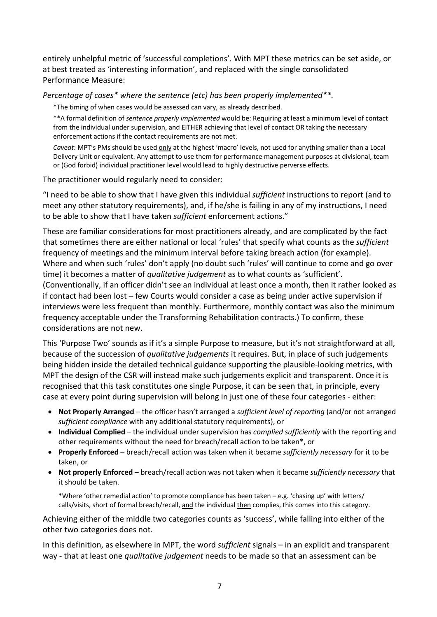entirely unhelpful metric of 'successful completions'. With MPT these metrics can be set aside, or at best treated as 'interesting information', and replaced with the single consolidated Performance Measure:

*Percentage of cases\* where the sentence (etc) has been properly implemented\*\*.*

\*The timing of when cases would be assessed can vary, as already described.

\*\*A formal definition of *sentence properly implemented* would be: Requiring at least a minimum level of contact from the individual under supervision, and EITHER achieving that level of contact OR taking the necessary enforcement actions if the contact requirements are not met.

*Caveat*: MPT's PMs should be used only at the highest 'macro' levels, not used for anything smaller than a Local Delivery Unit or equivalent. Any attempt to use them for performance management purposes at divisional, team or (God forbid) individual practitioner level would lead to highly destructive perverse effects.

The practitioner would regularly need to consider:

"I need to be able to show that I have given this individual *sufficient* instructions to report (and to meet any other statutory requirements), and, if he/she is failing in any of my instructions, I need to be able to show that I have taken *sufficient* enforcement actions."

These are familiar considerations for most practitioners already, and are complicated by the fact that sometimes there are either national or local 'rules' that specify what counts as the *sufficient* frequency of meetings and the minimum interval before taking breach action (for example). Where and when such 'rules' don't apply (no doubt such 'rules' will continue to come and go over time) it becomes a matter of *qualitative judgement* as to what counts as 'sufficient'. (Conventionally, if an officer didn't see an individual at least once a month, then it rather looked as if contact had been lost – few Courts would consider a case as being under active supervision if interviews were less frequent than monthly. Furthermore, monthly contact was also the minimum frequency acceptable under the Transforming Rehabilitation contracts.) To confirm, these considerations are not new.

This 'Purpose Two' sounds as if it's a simple Purpose to measure, but it's not straightforward at all, because of the succession of *qualitative judgements* it requires. But, in place of such judgements being hidden inside the detailed technical guidance supporting the plausible-looking metrics, with MPT the design of the CSR will instead make such judgements explicit and transparent. Once it is recognised that this task constitutes one single Purpose, it can be seen that, in principle, every case at every point during supervision will belong in just one of these four categories - either:

- **Not Properly Arranged** the officer hasn't arranged a *sufficient level of reporting* (and/or not arranged *sufficient compliance* with any additional statutory requirements), or
- **Individual Complied** the individual under supervision has *complied sufficiently* with the reporting and other requirements without the need for breach/recall action to be taken\*, or
- **Properly Enforced** breach/recall action was taken when it became *sufficiently necessary* for it to be taken, or
- **Not properly Enforced** breach/recall action was not taken when it became *sufficiently necessary* that it should be taken.

\*Where 'other remedial action' to promote compliance has been taken – e.g. 'chasing up' with letters/ calls/visits, short of formal breach/recall, and the individual then complies, this comes into this category.

Achieving either of the middle two categories counts as 'success', while falling into either of the other two categories does not.

In this definition, as elsewhere in MPT, the word *sufficient* signals – in an explicit and transparent way - that at least one *qualitative judgement* needs to be made so that an assessment can be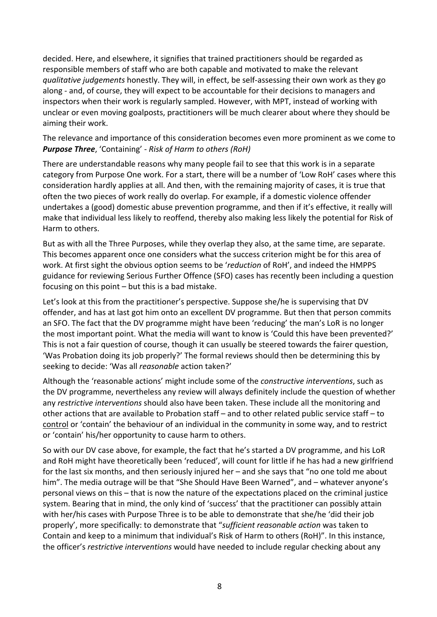decided. Here, and elsewhere, it signifies that trained practitioners should be regarded as responsible members of staff who are both capable and motivated to make the relevant *qualitative judgements* honestly. They will, in effect, be self-assessing their own work as they go along - and, of course, they will expect to be accountable for their decisions to managers and inspectors when their work is regularly sampled. However, with MPT, instead of working with unclear or even moving goalposts, practitioners will be much clearer about where they should be aiming their work.

The relevance and importance of this consideration becomes even more prominent as we come to *Purpose Three*, 'Containing' - *Risk of Harm to others (RoH)*

There are understandable reasons why many people fail to see that this work is in a separate category from Purpose One work. For a start, there will be a number of 'Low RoH' cases where this consideration hardly applies at all. And then, with the remaining majority of cases, it is true that often the two pieces of work really do overlap. For example, if a domestic violence offender undertakes a (good) domestic abuse prevention programme, and then if it's effective, it really will make that individual less likely to reoffend, thereby also making less likely the potential for Risk of Harm to others.

But as with all the Three Purposes, while they overlap they also, at the same time, are separate. This becomes apparent once one considers what the success criterion might be for this area of work. At first sight the obvious option seems to be '*reduction* of RoH', and indeed the HMPPS guidance for reviewing Serious Further Offence (SFO) cases has recently been including a question focusing on this point – but this is a bad mistake.

Let's look at this from the practitioner's perspective. Suppose she/he is supervising that DV offender, and has at last got him onto an excellent DV programme. But then that person commits an SFO. The fact that the DV programme might have been 'reducing' the man's LoR is no longer the most important point. What the media will want to know is 'Could this have been prevented?' This is not a fair question of course, though it can usually be steered towards the fairer question, 'Was Probation doing its job properly?' The formal reviews should then be determining this by seeking to decide: 'Was all *reasonable* action taken?'

Although the 'reasonable actions' might include some of the *constructive interventions*, such as the DV programme, nevertheless any review will always definitely include the question of whether any *restrictive interventions* should also have been taken. These include all the monitoring and other actions that are available to Probation staff – and to other related public service staff – to control or 'contain' the behaviour of an individual in the community in some way, and to restrict or 'contain' his/her opportunity to cause harm to others.

So with our DV case above, for example, the fact that he's started a DV programme, and his LoR and RoH might have theoretically been 'reduced', will count for little if he has had a new girlfriend for the last six months, and then seriously injured her – and she says that "no one told me about him". The media outrage will be that "She Should Have Been Warned", and – whatever anyone's personal views on this – that is now the nature of the expectations placed on the criminal justice system. Bearing that in mind, the only kind of 'success' that the practitioner can possibly attain with her/his cases with Purpose Three is to be able to demonstrate that she/he 'did their job properly', more specifically: to demonstrate that "*sufficient reasonable action* was taken to Contain and keep to a minimum that individual's Risk of Harm to others (RoH)". In this instance, the officer's *restrictive interventions* would have needed to include regular checking about any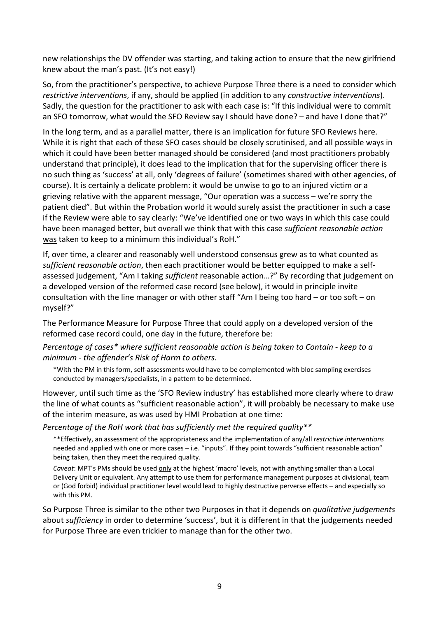new relationships the DV offender was starting, and taking action to ensure that the new girlfriend knew about the man's past. (It's not easy!)

So, from the practitioner's perspective, to achieve Purpose Three there is a need to consider which *restrictive interventions*, if any, should be applied (in addition to any *constructive interventions*). Sadly, the question for the practitioner to ask with each case is: "If this individual were to commit an SFO tomorrow, what would the SFO Review say I should have done? – and have I done that?"

In the long term, and as a parallel matter, there is an implication for future SFO Reviews here. While it is right that each of these SFO cases should be closely scrutinised, and all possible ways in which it could have been better managed should be considered (and most practitioners probably understand that principle), it does lead to the implication that for the supervising officer there is no such thing as 'success' at all, only 'degrees of failure' (sometimes shared with other agencies, of course). It is certainly a delicate problem: it would be unwise to go to an injured victim or a grieving relative with the apparent message, "Our operation was a success – we're sorry the patient died". But within the Probation world it would surely assist the practitioner in such a case if the Review were able to say clearly: "We've identified one or two ways in which this case could have been managed better, but overall we think that with this case *sufficient reasonable action* was taken to keep to a minimum this individual's RoH."

If, over time, a clearer and reasonably well understood consensus grew as to what counted as *sufficient reasonable action*, then each practitioner would be better equipped to make a selfassessed judgement, "Am I taking *sufficient* reasonable action…?" By recording that judgement on a developed version of the reformed case record (see below), it would in principle invite consultation with the line manager or with other staff "Am I being too hard – or too soft – on myself?"

The Performance Measure for Purpose Three that could apply on a developed version of the reformed case record could, one day in the future, therefore be:

*Percentage of cases\* where sufficient reasonable action is being taken to Contain - keep to a minimum - the offender's Risk of Harm to others.*

\*With the PM in this form, self-assessments would have to be complemented with bloc sampling exercises conducted by managers/specialists, in a pattern to be determined.

However, until such time as the 'SFO Review industry' has established more clearly where to draw the line of what counts as "sufficient reasonable action", it will probably be necessary to make use of the interim measure, as was used by HMI Probation at one time:

*Percentage of the RoH work that has sufficiently met the required quality\*\** 

\*\*Effectively, an assessment of the appropriateness and the implementation of any/all *restrictive interventions* needed and applied with one or more cases – i.e. "inputs". If they point towards "sufficient reasonable action" being taken, then they meet the required quality.

*Caveat*: MPT's PMs should be used only at the highest 'macro' levels, not with anything smaller than a Local Delivery Unit or equivalent. Any attempt to use them for performance management purposes at divisional, team or (God forbid) individual practitioner level would lead to highly destructive perverse effects – and especially so with this PM.

So Purpose Three is similar to the other two Purposes in that it depends on *qualitative judgements* about *sufficiency* in order to determine 'success', but it is different in that the judgements needed for Purpose Three are even trickier to manage than for the other two.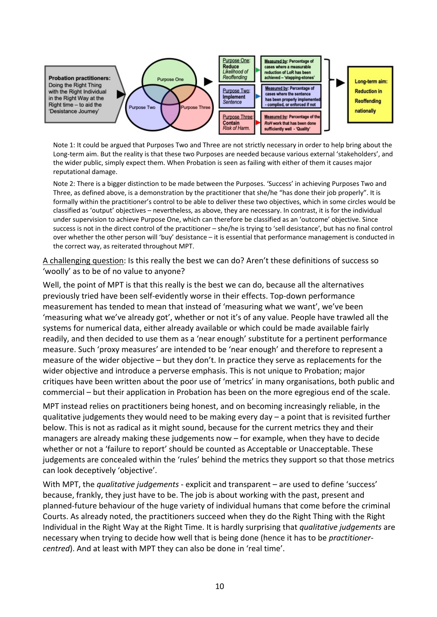

Note 1: It could be argued that Purposes Two and Three are not strictly necessary in order to help bring about the Long-term aim. But the reality is that these two Purposes are needed because various external 'stakeholders', and the wider public, simply expect them. When Probation is seen as failing with either of them it causes major reputational damage.

Note 2: There is a bigger distinction to be made between the Purposes. 'Success' in achieving Purposes Two and Three, as defined above, is a demonstration by the practitioner that she/he "has done their job properly". It is formally within the practitioner's control to be able to deliver these two objectives, which in some circles would be classified as 'output' objectives – nevertheless, as above, they are necessary. In contrast, it is for the individual under supervision to achieve Purpose One, which can therefore be classified as an 'outcome' objective. Since success is not in the direct control of the practitioner – she/he is trying to 'sell desistance', but has no final control over whether the other person will 'buy' desistance – it is essential that performance management is conducted in the correct way, as reiterated throughout MPT.

A challenging question: Is this really the best we can do? Aren't these definitions of success so 'woolly' as to be of no value to anyone?

Well, the point of MPT is that this really is the best we can do, because all the alternatives previously tried have been self-evidently worse in their effects. Top-down performance measurement has tended to mean that instead of 'measuring what we want', we've been 'measuring what we've already got', whether or not it's of any value. People have trawled all the systems for numerical data, either already available or which could be made available fairly readily, and then decided to use them as a 'near enough' substitute for a pertinent performance measure. Such 'proxy measures' are intended to be 'near enough' and therefore to represent a measure of the wider objective – but they don't. In practice they serve as replacements for the wider objective and introduce a perverse emphasis. This is not unique to Probation; major critiques have been written about the poor use of 'metrics' in many organisations, both public and commercial – but their application in Probation has been on the more egregious end of the scale.

MPT instead relies on practitioners being honest, and on becoming increasingly reliable, in the qualitative judgements they would need to be making every day – a point that is revisited further below. This is not as radical as it might sound, because for the current metrics they and their managers are already making these judgements now – for example, when they have to decide whether or not a 'failure to report' should be counted as Acceptable or Unacceptable. These judgements are concealed within the 'rules' behind the metrics they support so that those metrics can look deceptively 'objective'.

With MPT, the *qualitative judgements* - explicit and transparent – are used to define 'success' because, frankly, they just have to be. The job is about working with the past, present and planned-future behaviour of the huge variety of individual humans that come before the criminal Courts. As already noted, the practitioners succeed when they do the Right Thing with the Right Individual in the Right Way at the Right Time. It is hardly surprising that *qualitative judgements* are necessary when trying to decide how well that is being done (hence it has to be *practitionercentred*). And at least with MPT they can also be done in 'real time'.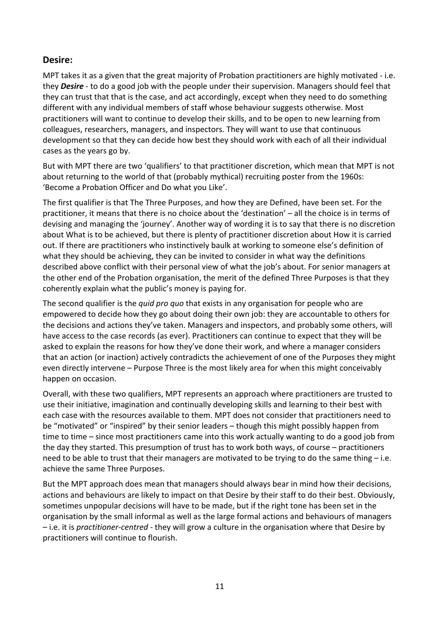### **Desire:**

MPT takes it as a given that the great majority of Probation practitioners are highly motivated - i.e. they *Desire* - to do a good job with the people under their supervision. Managers should feel that they can trust that that is the case, and act accordingly, except when they need to do something different with any individual members of staff whose behaviour suggests otherwise. Most practitioners will want to continue to develop their skills, and to be open to new learning from colleagues, researchers, managers, and inspectors. They will want to use that continuous development so that they can decide how best they should work with each of all their individual cases as the years go by.

But with MPT there are two 'qualifiers' to that practitioner discretion, which mean that MPT is not about returning to the world of that (probably mythical) recruiting poster from the 1960s: 'Become a Probation Officer and Do what you Like'.

The first qualifier is that The Three Purposes, and how they are Defined, have been set. For the practitioner, it means that there is no choice about the 'destination' – all the choice is in terms of devising and managing the 'journey'. Another way of wording it is to say that there is no discretion about What is to be achieved, but there is plenty of practitioner discretion about How it is carried out. If there are practitioners who instinctively baulk at working to someone else's definition of what they should be achieving, they can be invited to consider in what way the definitions described above conflict with their personal view of what the job's about. For senior managers at the other end of the Probation organisation, the merit of the defined Three Purposes is that they coherently explain what the public's money is paying for.

The second qualifier is the *quid pro quo* that exists in any organisation for people who are empowered to decide how they go about doing their own job: they are accountable to others for the decisions and actions they've taken. Managers and inspectors, and probably some others, will have access to the case records (as ever). Practitioners can continue to expect that they will be asked to explain the reasons for how they've done their work, and where a manager considers that an action (or inaction) actively contradicts the achievement of one of the Purposes they might even directly intervene – Purpose Three is the most likely area for when this might conceivably happen on occasion.

Overall, with these two qualifiers, MPT represents an approach where practitioners are trusted to use their initiative, imagination and continually developing skills and learning to their best with each case with the resources available to them. MPT does not consider that practitioners need to be "motivated" or "inspired" by their senior leaders – though this might possibly happen from time to time – since most practitioners came into this work actually wanting to do a good job from the day they started. This presumption of trust has to work both ways, of course – practitioners need to be able to trust that their managers are motivated to be trying to do the same thing – i.e. achieve the same Three Purposes.

But the MPT approach does mean that managers should always bear in mind how their decisions, actions and behaviours are likely to impact on that Desire by their staff to do their best. Obviously, sometimes unpopular decisions will have to be made, but if the right tone has been set in the organisation by the small informal as well as the large formal actions and behaviours of managers – i.e. it is *practitioner-centred* - they will grow a culture in the organisation where that Desire by practitioners will continue to flourish.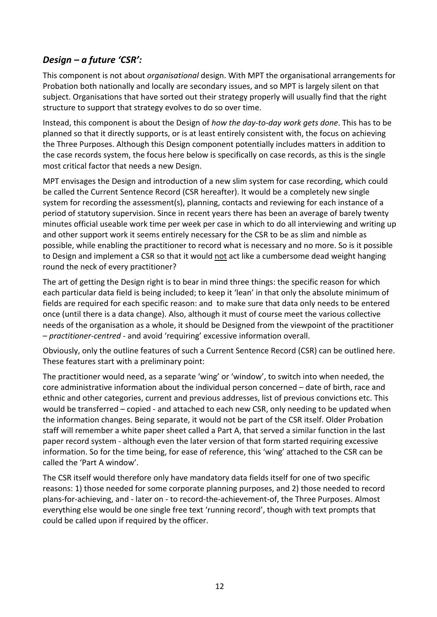## *Design – a future 'CSR':*

This component is not about *organisational* design. With MPT the organisational arrangements for Probation both nationally and locally are secondary issues, and so MPT is largely silent on that subject. Organisations that have sorted out their strategy properly will usually find that the right structure to support that strategy evolves to do so over time.

Instead, this component is about the Design of *how the day-to-day work gets done*. This has to be planned so that it directly supports, or is at least entirely consistent with, the focus on achieving the Three Purposes. Although this Design component potentially includes matters in addition to the case records system, the focus here below is specifically on case records, as this is the single most critical factor that needs a new Design.

MPT envisages the Design and introduction of a new slim system for case recording, which could be called the Current Sentence Record (CSR hereafter). It would be a completely new single system for recording the assessment(s), planning, contacts and reviewing for each instance of a period of statutory supervision. Since in recent years there has been an average of barely twenty minutes official useable work time per week per case in which to do all interviewing and writing up and other support work it seems entirely necessary for the CSR to be as slim and nimble as possible, while enabling the practitioner to record what is necessary and no more. So is it possible to Design and implement a CSR so that it would not act like a cumbersome dead weight hanging round the neck of every practitioner?

The art of getting the Design right is to bear in mind three things: the specific reason for which each particular data field is being included; to keep it 'lean' in that only the absolute minimum of fields are required for each specific reason: and to make sure that data only needs to be entered once (until there is a data change). Also, although it must of course meet the various collective needs of the organisation as a whole, it should be Designed from the viewpoint of the practitioner – *practitioner-centred* - and avoid 'requiring' excessive information overall.

Obviously, only the outline features of such a Current Sentence Record (CSR) can be outlined here. These features start with a preliminary point:

The practitioner would need, as a separate 'wing' or 'window', to switch into when needed, the core administrative information about the individual person concerned – date of birth, race and ethnic and other categories, current and previous addresses, list of previous convictions etc. This would be transferred – copied - and attached to each new CSR, only needing to be updated when the information changes. Being separate, it would not be part of the CSR itself. Older Probation staff will remember a white paper sheet called a Part A, that served a similar function in the last paper record system - although even the later version of that form started requiring excessive information. So for the time being, for ease of reference, this 'wing' attached to the CSR can be called the 'Part A window'.

The CSR itself would therefore only have mandatory data fields itself for one of two specific reasons: 1) those needed for some corporate planning purposes, and 2) those needed to record plans-for-achieving, and - later on - to record-the-achievement-of, the Three Purposes. Almost everything else would be one single free text 'running record', though with text prompts that could be called upon if required by the officer.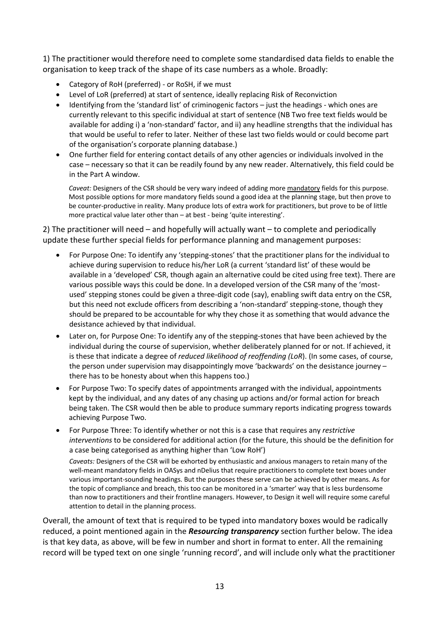1) The practitioner would therefore need to complete some standardised data fields to enable the organisation to keep track of the shape of its case numbers as a whole. Broadly:

- Category of RoH (preferred) or RoSH, if we must
- Level of LoR (preferred) at start of sentence, ideally replacing Risk of Reconviction
- Identifying from the 'standard list' of criminogenic factors just the headings which ones are currently relevant to this specific individual at start of sentence (NB Two free text fields would be available for adding i) a 'non-standard' factor, and ii) any headline strengths that the individual has that would be useful to refer to later. Neither of these last two fields would or could become part of the organisation's corporate planning database.)
- One further field for entering contact details of any other agencies or individuals involved in the case – necessary so that it can be readily found by any new reader. Alternatively, this field could be in the Part A window.

*Caveat:* Designers of the CSR should be very wary indeed of adding more mandatory fields for this purpose. Most possible options for more mandatory fields sound a good idea at the planning stage, but then prove to be counter-productive in reality. Many produce lots of extra work for practitioners, but prove to be of little more practical value later other than – at best - being 'quite interesting'.

2) The practitioner will need – and hopefully will actually want – to complete and periodically update these further special fields for performance planning and management purposes:

- For Purpose One: To identify any 'stepping-stones' that the practitioner plans for the individual to achieve during supervision to reduce his/her LoR (a current 'standard list' of these would be available in a 'developed' CSR, though again an alternative could be cited using free text). There are various possible ways this could be done. In a developed version of the CSR many of the 'mostused' stepping stones could be given a three-digit code (say), enabling swift data entry on the CSR, but this need not exclude officers from describing a 'non-standard' stepping-stone, though they should be prepared to be accountable for why they chose it as something that would advance the desistance achieved by that individual.
- Later on, for Purpose One: To identify any of the stepping-stones that have been achieved by the individual during the course of supervision, whether deliberately planned for or not. If achieved, it is these that indicate a degree of *reduced likelihood of reoffending (LoR*). (In some cases, of course, the person under supervision may disappointingly move 'backwards' on the desistance journey – there has to be honesty about when this happens too.)
- For Purpose Two: To specify dates of appointments arranged with the individual, appointments kept by the individual, and any dates of any chasing up actions and/or formal action for breach being taken. The CSR would then be able to produce summary reports indicating progress towards achieving Purpose Two.
- For Purpose Three: To identify whether or not this is a case that requires any *restrictive interventions* to be considered for additional action (for the future, this should be the definition for a case being categorised as anything higher than 'Low RoH') *Caveats:* Designers of the CSR will be exhorted by enthusiastic and anxious managers to retain many of the well-meant mandatory fields in OASys and nDelius that require practitioners to complete text boxes under various important-sounding headings. But the purposes these serve can be achieved by other means. As for the topic of compliance and breach, this too can be monitored in a 'smarter' way that is less burdensome than now to practitioners and their frontline managers. However, to Design it well will require some careful

Overall, the amount of text that is required to be typed into mandatory boxes would be radically reduced, a point mentioned again in the *Resourcing transparency* section further below. The idea is that key data, as above, will be few in number and short in format to enter. All the remaining record will be typed text on one single 'running record', and will include only what the practitioner

attention to detail in the planning process.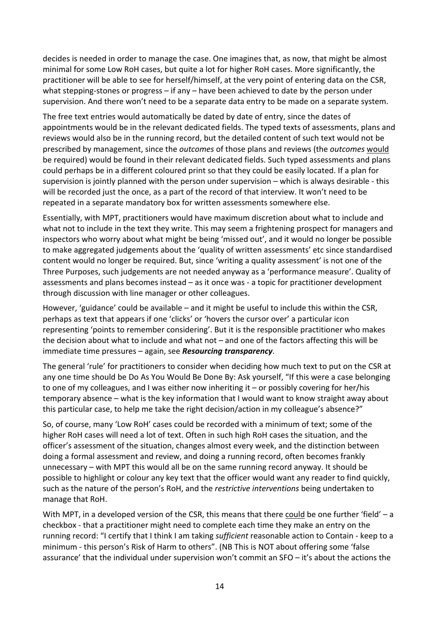decides is needed in order to manage the case. One imagines that, as now, that might be almost minimal for some Low RoH cases, but quite a lot for higher RoH cases. More significantly, the practitioner will be able to see for herself/himself, at the very point of entering data on the CSR, what stepping-stones or progress – if any – have been achieved to date by the person under supervision. And there won't need to be a separate data entry to be made on a separate system.

The free text entries would automatically be dated by date of entry, since the dates of appointments would be in the relevant dedicated fields. The typed texts of assessments, plans and reviews would also be in the running record, but the detailed content of such text would not be prescribed by management, since the *outcomes* of those plans and reviews (the *outcomes* would be required) would be found in their relevant dedicated fields. Such typed assessments and plans could perhaps be in a different coloured print so that they could be easily located. If a plan for supervision is jointly planned with the person under supervision – which is always desirable - this will be recorded just the once, as a part of the record of that interview. It won't need to be repeated in a separate mandatory box for written assessments somewhere else.

Essentially, with MPT, practitioners would have maximum discretion about what to include and what not to include in the text they write. This may seem a frightening prospect for managers and inspectors who worry about what might be being 'missed out', and it would no longer be possible to make aggregated judgements about the 'quality of written assessments' etc since standardised content would no longer be required. But, since 'writing a quality assessment' is not one of the Three Purposes, such judgements are not needed anyway as a 'performance measure'. Quality of assessments and plans becomes instead – as it once was - a topic for practitioner development through discussion with line manager or other colleagues.

However, 'guidance' could be available – and it might be useful to include this within the CSR, perhaps as text that appears if one 'clicks' or 'hovers the cursor over' a particular icon representing 'points to remember considering'. But it is the responsible practitioner who makes the decision about what to include and what not – and one of the factors affecting this will be immediate time pressures – again, see *Resourcing transparency*.

The general 'rule' for practitioners to consider when deciding how much text to put on the CSR at any one time should be Do As You Would Be Done By: Ask yourself, "If this were a case belonging to one of my colleagues, and I was either now inheriting it – or possibly covering for her/his temporary absence – what is the key information that I would want to know straight away about this particular case, to help me take the right decision/action in my colleague's absence?"

So, of course, many 'Low RoH' cases could be recorded with a minimum of text; some of the higher RoH cases will need a lot of text. Often in such high RoH cases the situation, and the officer's assessment of the situation, changes almost every week, and the distinction between doing a formal assessment and review, and doing a running record, often becomes frankly unnecessary – with MPT this would all be on the same running record anyway. It should be possible to highlight or colour any key text that the officer would want any reader to find quickly, such as the nature of the person's RoH, and the *restrictive interventions* being undertaken to manage that RoH.

With MPT, in a developed version of the CSR, this means that there could be one further 'field' – a checkbox - that a practitioner might need to complete each time they make an entry on the running record: "I certify that I think I am taking *sufficient* reasonable action to Contain - keep to a minimum - this person's Risk of Harm to others". (NB This is NOT about offering some 'false assurance' that the individual under supervision won't commit an SFO – it's about the actions the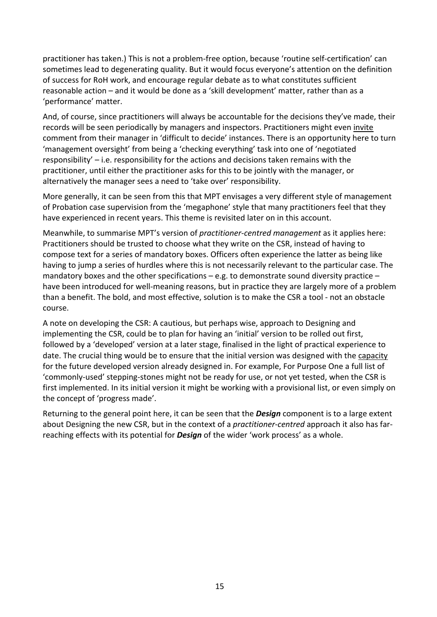practitioner has taken.) This is not a problem-free option, because 'routine self-certification' can sometimes lead to degenerating quality. But it would focus everyone's attention on the definition of success for RoH work, and encourage regular debate as to what constitutes sufficient reasonable action – and it would be done as a 'skill development' matter, rather than as a 'performance' matter.

And, of course, since practitioners will always be accountable for the decisions they've made, their records will be seen periodically by managers and inspectors. Practitioners might even invite comment from their manager in 'difficult to decide' instances. There is an opportunity here to turn 'management oversight' from being a 'checking everything' task into one of 'negotiated responsibility' – i.e. responsibility for the actions and decisions taken remains with the practitioner, until either the practitioner asks for this to be jointly with the manager, or alternatively the manager sees a need to 'take over' responsibility.

More generally, it can be seen from this that MPT envisages a very different style of management of Probation case supervision from the 'megaphone' style that many practitioners feel that they have experienced in recent years. This theme is revisited later on in this account.

Meanwhile, to summarise MPT's version of *practitioner-centred management* as it applies here: Practitioners should be trusted to choose what they write on the CSR, instead of having to compose text for a series of mandatory boxes. Officers often experience the latter as being like having to jump a series of hurdles where this is not necessarily relevant to the particular case. The mandatory boxes and the other specifications – e.g. to demonstrate sound diversity practice – have been introduced for well-meaning reasons, but in practice they are largely more of a problem than a benefit. The bold, and most effective, solution is to make the CSR a tool - not an obstacle course.

A note on developing the CSR: A cautious, but perhaps wise, approach to Designing and implementing the CSR, could be to plan for having an 'initial' version to be rolled out first, followed by a 'developed' version at a later stage, finalised in the light of practical experience to date. The crucial thing would be to ensure that the initial version was designed with the capacity for the future developed version already designed in. For example, For Purpose One a full list of 'commonly-used' stepping-stones might not be ready for use, or not yet tested, when the CSR is first implemented. In its initial version it might be working with a provisional list, or even simply on the concept of 'progress made'.

Returning to the general point here, it can be seen that the *Design* component is to a large extent about Designing the new CSR, but in the context of a *practitioner-centred* approach it also has farreaching effects with its potential for *Design* of the wider 'work process' as a whole.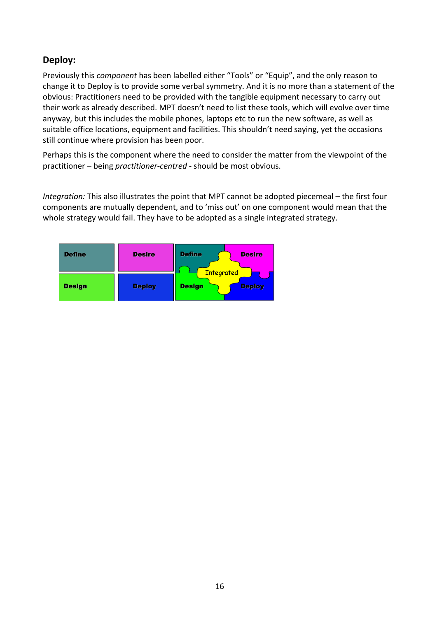## **Deploy:**

Previously this *component* has been labelled either "Tools" or "Equip", and the only reason to change it to Deploy is to provide some verbal symmetry. And it is no more than a statement of the obvious: Practitioners need to be provided with the tangible equipment necessary to carry out their work as already described. MPT doesn't need to list these tools, which will evolve over time anyway, but this includes the mobile phones, laptops etc to run the new software, as well as suitable office locations, equipment and facilities. This shouldn't need saying, yet the occasions still continue where provision has been poor.

Perhaps this is the component where the need to consider the matter from the viewpoint of the practitioner – being *practitioner-centred* - should be most obvious.

*Integration:* This also illustrates the point that MPT cannot be adopted piecemeal – the first four components are mutually dependent, and to 'miss out' on one component would mean that the whole strategy would fail. They have to be adopted as a single integrated strategy.

| <b>Define</b> | <b>Desire</b> | <b>Define</b><br><b>Desire</b><br><b>Integrated</b> |
|---------------|---------------|-----------------------------------------------------|
| <b>Design</b> | <b>Deploy</b> | <b>Design</b><br><b>Deploy</b>                      |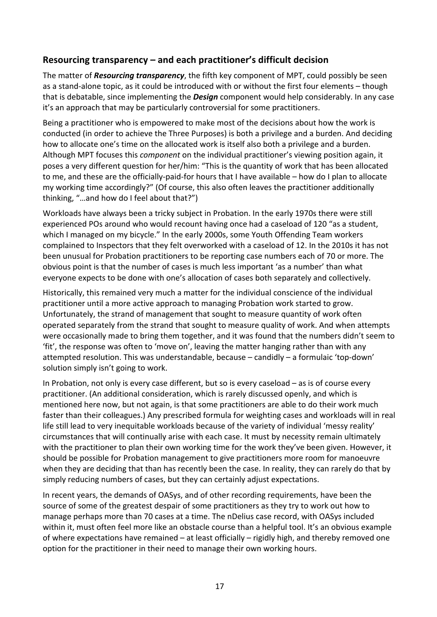## **Resourcing transparency – and each practitioner's difficult decision**

The matter of *Resourcing transparency*, the fifth key component of MPT, could possibly be seen as a stand-alone topic, as it could be introduced with or without the first four elements – though that is debatable, since implementing the *Design* component would help considerably. In any case it's an approach that may be particularly controversial for some practitioners.

Being a practitioner who is empowered to make most of the decisions about how the work is conducted (in order to achieve the Three Purposes) is both a privilege and a burden. And deciding how to allocate one's time on the allocated work is itself also both a privilege and a burden. Although MPT focuses this *component* on the individual practitioner's viewing position again, it poses a very different question for her/him: "This is the quantity of work that has been allocated to me, and these are the officially-paid-for hours that I have available – how do I plan to allocate my working time accordingly?" (Of course, this also often leaves the practitioner additionally thinking, "…and how do I feel about that?")

Workloads have always been a tricky subject in Probation. In the early 1970s there were still experienced POs around who would recount having once had a caseload of 120 "as a student, which I managed on my bicycle." In the early 2000s, some Youth Offending Team workers complained to Inspectors that they felt overworked with a caseload of 12. In the 2010s it has not been unusual for Probation practitioners to be reporting case numbers each of 70 or more. The obvious point is that the number of cases is much less important 'as a number' than what everyone expects to be done with one's allocation of cases both separately and collectively.

Historically, this remained very much a matter for the individual conscience of the individual practitioner until a more active approach to managing Probation work started to grow. Unfortunately, the strand of management that sought to measure quantity of work often operated separately from the strand that sought to measure quality of work. And when attempts were occasionally made to bring them together, and it was found that the numbers didn't seem to 'fit', the response was often to 'move on', leaving the matter hanging rather than with any attempted resolution. This was understandable, because – candidly – a formulaic 'top-down' solution simply isn't going to work.

In Probation, not only is every case different, but so is every caseload – as is of course every practitioner. (An additional consideration, which is rarely discussed openly, and which is mentioned here now, but not again, is that some practitioners are able to do their work much faster than their colleagues.) Any prescribed formula for weighting cases and workloads will in real life still lead to very inequitable workloads because of the variety of individual 'messy reality' circumstances that will continually arise with each case. It must by necessity remain ultimately with the practitioner to plan their own working time for the work they've been given. However, it should be possible for Probation management to give practitioners more room for manoeuvre when they are deciding that than has recently been the case. In reality, they can rarely do that by simply reducing numbers of cases, but they can certainly adjust expectations.

In recent years, the demands of OASys, and of other recording requirements, have been the source of some of the greatest despair of some practitioners as they try to work out how to manage perhaps more than 70 cases at a time. The nDelius case record, with OASys included within it, must often feel more like an obstacle course than a helpful tool. It's an obvious example of where expectations have remained – at least officially – rigidly high, and thereby removed one option for the practitioner in their need to manage their own working hours.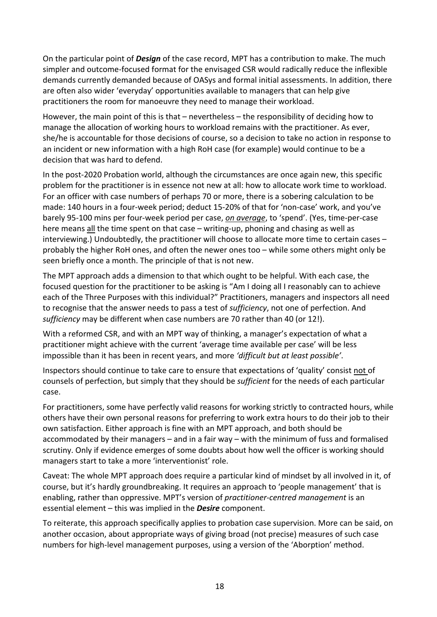On the particular point of *Design* of the case record, MPT has a contribution to make. The much simpler and outcome-focused format for the envisaged CSR would radically reduce the inflexible demands currently demanded because of OASys and formal initial assessments. In addition, there are often also wider 'everyday' opportunities available to managers that can help give practitioners the room for manoeuvre they need to manage their workload.

However, the main point of this is that – nevertheless – the responsibility of deciding how to manage the allocation of working hours to workload remains with the practitioner. As ever, she/he is accountable for those decisions of course, so a decision to take no action in response to an incident or new information with a high RoH case (for example) would continue to be a decision that was hard to defend.

In the post-2020 Probation world, although the circumstances are once again new, this specific problem for the practitioner is in essence not new at all: how to allocate work time to workload. For an officer with case numbers of perhaps 70 or more, there is a sobering calculation to be made: 140 hours in a four-week period; deduct 15-20% of that for 'non-case' work, and you've barely 95-100 mins per four-week period per case, *on average*, to 'spend'. (Yes, time-per-case here means all the time spent on that case – writing-up, phoning and chasing as well as interviewing.) Undoubtedly, the practitioner will choose to allocate more time to certain cases – probably the higher RoH ones, and often the newer ones too – while some others might only be seen briefly once a month. The principle of that is not new.

The MPT approach adds a dimension to that which ought to be helpful. With each case, the focused question for the practitioner to be asking is "Am I doing all I reasonably can to achieve each of the Three Purposes with this individual?" Practitioners, managers and inspectors all need to recognise that the answer needs to pass a test of *sufficiency*, not one of perfection. And *sufficiency* may be different when case numbers are 70 rather than 40 (or 12!).

With a reformed CSR, and with an MPT way of thinking, a manager's expectation of what a practitioner might achieve with the current 'average time available per case' will be less impossible than it has been in recent years, and more *'difficult but at least possible'*.

Inspectors should continue to take care to ensure that expectations of 'quality' consist not of counsels of perfection, but simply that they should be *sufficient* for the needs of each particular case.

For practitioners, some have perfectly valid reasons for working strictly to contracted hours, while others have their own personal reasons for preferring to work extra hours to do their job to their own satisfaction. Either approach is fine with an MPT approach, and both should be accommodated by their managers – and in a fair way – with the minimum of fuss and formalised scrutiny. Only if evidence emerges of some doubts about how well the officer is working should managers start to take a more 'interventionist' role.

Caveat: The whole MPT approach does require a particular kind of mindset by all involved in it, of course, but it's hardly groundbreaking. It requires an approach to 'people management' that is enabling, rather than oppressive. MPT's version of *practitioner-centred management* is an essential element – this was implied in the *Desire* component.

To reiterate, this approach specifically applies to probation case supervision. More can be said, on another occasion, about appropriate ways of giving broad (not precise) measures of such case numbers for high-level management purposes, using a version of the 'Aborption' method.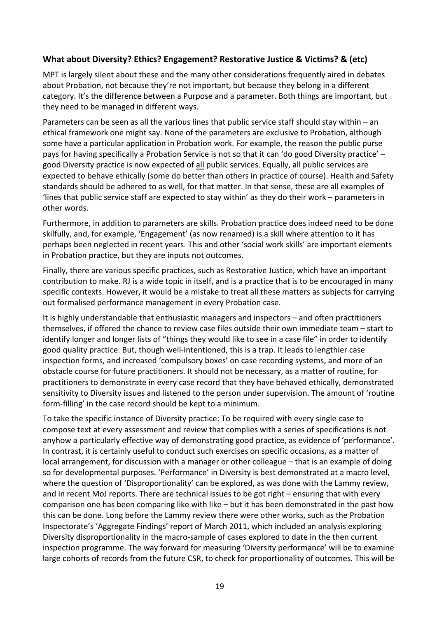#### **What about Diversity? Ethics? Engagement? Restorative Justice & Victims? & (etc)**

MPT is largely silent about these and the many other considerations frequently aired in debates about Probation, not because they're not important, but because they belong in a different category. It's the difference between a Purpose and a parameter. Both things are important, but they need to be managed in different ways.

Parameters can be seen as all the various lines that public service staff should stay within – an ethical framework one might say. None of the parameters are exclusive to Probation, although some have a particular application in Probation work. For example, the reason the public purse pays for having specifically a Probation Service is not so that it can 'do good Diversity practice' – good Diversity practice is now expected of all public services. Equally, all public services are expected to behave ethically (some do better than others in practice of course). Health and Safety standards should be adhered to as well, for that matter. In that sense, these are all examples of 'lines that public service staff are expected to stay within' as they do their work – parameters in other words.

Furthermore, in addition to parameters are skills. Probation practice does indeed need to be done skilfully, and, for example, 'Engagement' (as now renamed) is a skill where attention to it has perhaps been neglected in recent years. This and other 'social work skills' are important elements in Probation practice, but they are inputs not outcomes.

Finally, there are various specific practices, such as Restorative Justice, which have an important contribution to make. RJ is a wide topic in itself, and is a practice that is to be encouraged in many specific contexts. However, it would be a mistake to treat all these matters as subjects for carrying out formalised performance management in every Probation case.

It is highly understandable that enthusiastic managers and inspectors – and often practitioners themselves, if offered the chance to review case files outside their own immediate team – start to identify longer and longer lists of "things they would like to see in a case file" in order to identify good quality practice. But, though well-intentioned, this is a trap. It leads to lengthier case inspection forms, and increased 'compulsory boxes' on case recording systems, and more of an obstacle course for future practitioners. It should not be necessary, as a matter of routine, for practitioners to demonstrate in every case record that they have behaved ethically, demonstrated sensitivity to Diversity issues and listened to the person under supervision. The amount of 'routine form-filling' in the case record should be kept to a minimum.

To take the specific instance of Diversity practice: To be required with every single case to compose text at every assessment and review that complies with a series of specifications is not anyhow a particularly effective way of demonstrating good practice, as evidence of 'performance'. In contrast, it is certainly useful to conduct such exercises on specific occasions, as a matter of local arrangement, for discussion with a manager or other colleague – that is an example of doing so for developmental purposes. 'Performance' in Diversity is best demonstrated at a macro level, where the question of 'Disproportionality' can be explored, as was done with the Lammy review, and in recent MoJ reports. There are technical issues to be got right – ensuring that with every comparison one has been comparing like with like – but it has been demonstrated in the past how this can be done. Long before the Lammy review there were other works, such as the Probation Inspectorate's 'Aggregate Findings' report of March 2011, which included an analysis exploring Diversity disproportionality in the macro-sample of cases explored to date in the then current inspection programme. The way forward for measuring 'Diversity performance' will be to examine large cohorts of records from the future CSR, to check for proportionality of outcomes. This will be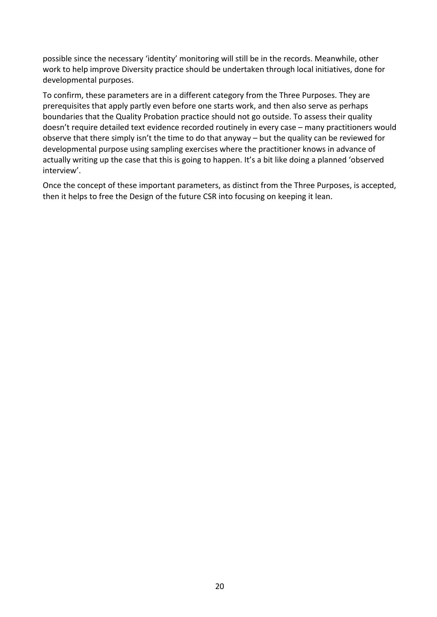possible since the necessary 'identity' monitoring will still be in the records. Meanwhile, other work to help improve Diversity practice should be undertaken through local initiatives, done for developmental purposes.

To confirm, these parameters are in a different category from the Three Purposes. They are prerequisites that apply partly even before one starts work, and then also serve as perhaps boundaries that the Quality Probation practice should not go outside. To assess their quality doesn't require detailed text evidence recorded routinely in every case – many practitioners would observe that there simply isn't the time to do that anyway – but the quality can be reviewed for developmental purpose using sampling exercises where the practitioner knows in advance of actually writing up the case that this is going to happen. It's a bit like doing a planned 'observed interview'.

Once the concept of these important parameters, as distinct from the Three Purposes, is accepted, then it helps to free the Design of the future CSR into focusing on keeping it lean.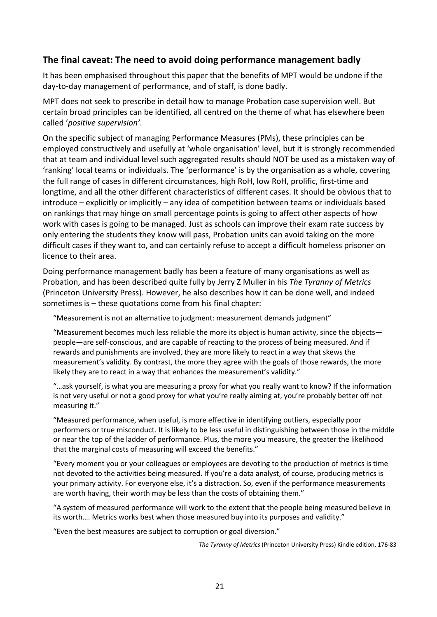## **The final caveat: The need to avoid doing performance management badly**

It has been emphasised throughout this paper that the benefits of MPT would be undone if the day-to-day management of performance, and of staff, is done badly.

MPT does not seek to prescribe in detail how to manage Probation case supervision well. But certain broad principles can be identified, all centred on the theme of what has elsewhere been called '*positive supervision'*.

On the specific subject of managing Performance Measures (PMs), these principles can be employed constructively and usefully at 'whole organisation' level, but it is strongly recommended that at team and individual level such aggregated results should NOT be used as a mistaken way of 'ranking' local teams or individuals. The 'performance' is by the organisation as a whole, covering the full range of cases in different circumstances, high RoH, low RoH, prolific, first-time and longtime, and all the other different characteristics of different cases. It should be obvious that to introduce – explicitly or implicitly – any idea of competition between teams or individuals based on rankings that may hinge on small percentage points is going to affect other aspects of how work with cases is going to be managed. Just as schools can improve their exam rate success by only entering the students they know will pass, Probation units can avoid taking on the more difficult cases if they want to, and can certainly refuse to accept a difficult homeless prisoner on licence to their area.

Doing performance management badly has been a feature of many organisations as well as Probation, and has been described quite fully by Jerry Z Muller in his *The Tyranny of Metrics* (Princeton University Press). However, he also describes how it can be done well, and indeed sometimes is – these quotations come from his final chapter:

"Measurement is not an alternative to judgment: measurement demands judgment"

"Measurement becomes much less reliable the more its object is human activity, since the objects people—are self-conscious, and are capable of reacting to the process of being measured. And if rewards and punishments are involved, they are more likely to react in a way that skews the measurement's validity. By contrast, the more they agree with the goals of those rewards, the more likely they are to react in a way that enhances the measurement's validity."

"…ask yourself, is what you are measuring a proxy for what you really want to know? If the information is not very useful or not a good proxy for what you're really aiming at, you're probably better off not measuring it."

"Measured performance, when useful, is more effective in identifying outliers, especially poor performers or true misconduct. It is likely to be less useful in distinguishing between those in the middle or near the top of the ladder of performance. Plus, the more you measure, the greater the likelihood that the marginal costs of measuring will exceed the benefits."

"Every moment you or your colleagues or employees are devoting to the production of metrics is time not devoted to the activities being measured. If you're a data analyst, of course, producing metrics is your primary activity. For everyone else, it's a distraction. So, even if the performance measurements are worth having, their worth may be less than the costs of obtaining them."

"A system of measured performance will work to the extent that the people being measured believe in its worth…. Metrics works best when those measured buy into its purposes and validity."

"Even the best measures are subject to corruption or goal diversion."

*The Tyranny of Metrics* (Princeton University Press) Kindle edition, 176-83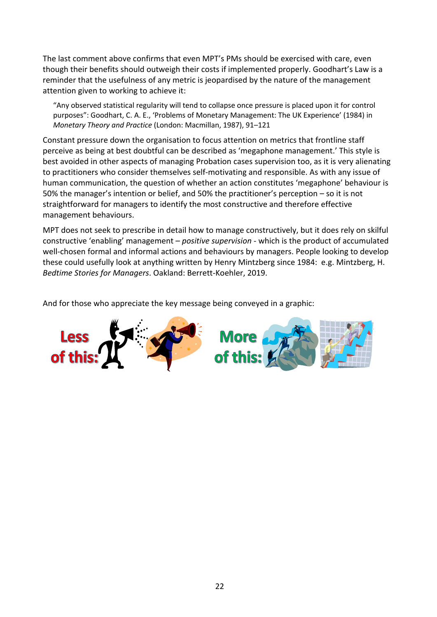The last comment above confirms that even MPT's PMs should be exercised with care, even though their benefits should outweigh their costs if implemented properly. Goodhart's Law is a reminder that the usefulness of any metric is jeopardised by the nature of the management attention given to working to achieve it:

"Any observed statistical regularity will tend to collapse once pressure is placed upon it for control purposes": Goodhart, C. A. E., 'Problems of Monetary Management: The UK Experience' (1984) in *Monetary Theory and Practice* (London: Macmillan, 1987), 91–121

Constant pressure down the organisation to focus attention on metrics that frontline staff perceive as being at best doubtful can be described as 'megaphone management.' This style is best avoided in other aspects of managing Probation cases supervision too, as it is very alienating to practitioners who consider themselves self-motivating and responsible. As with any issue of human communication, the question of whether an action constitutes 'megaphone' behaviour is 50% the manager's intention or belief, and 50% the practitioner's perception – so it is not straightforward for managers to identify the most constructive and therefore effective management behaviours.

MPT does not seek to prescribe in detail how to manage constructively, but it does rely on skilful constructive 'enabling' management – *positive supervision* - which is the product of accumulated well-chosen formal and informal actions and behaviours by managers. People looking to develop these could usefully look at anything written by Henry Mintzberg since 1984: e.g. Mintzberg, H. *Bedtime Stories for Managers*. Oakland: Berrett-Koehler, 2019.

And for those who appreciate the key message being conveyed in a graphic:

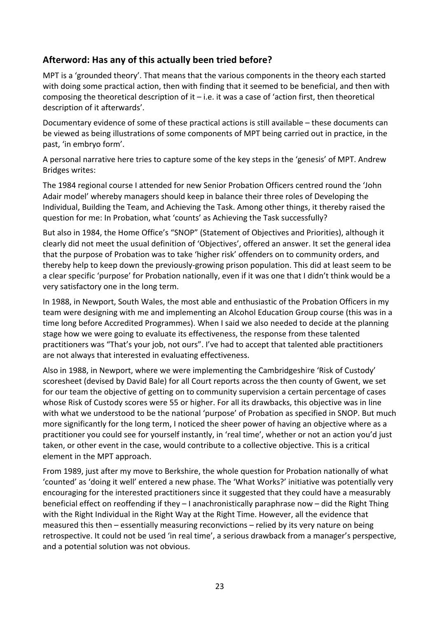## **Afterword: Has any of this actually been tried before?**

MPT is a 'grounded theory'. That means that the various components in the theory each started with doing some practical action, then with finding that it seemed to be beneficial, and then with composing the theoretical description of it – i.e. it was a case of 'action first, then theoretical description of it afterwards'.

Documentary evidence of some of these practical actions is still available – these documents can be viewed as being illustrations of some components of MPT being carried out in practice, in the past, 'in embryo form'.

A personal narrative here tries to capture some of the key steps in the 'genesis' of MPT. Andrew Bridges writes:

The 1984 regional course I attended for new Senior Probation Officers centred round the 'John Adair model' whereby managers should keep in balance their three roles of Developing the Individual, Building the Team, and Achieving the Task. Among other things, it thereby raised the question for me: In Probation, what 'counts' as Achieving the Task successfully?

But also in 1984, the Home Office's "SNOP" (Statement of Objectives and Priorities), although it clearly did not meet the usual definition of 'Objectives', offered an answer. It set the general idea that the purpose of Probation was to take 'higher risk' offenders on to community orders, and thereby help to keep down the previously-growing prison population. This did at least seem to be a clear specific 'purpose' for Probation nationally, even if it was one that I didn't think would be a very satisfactory one in the long term.

In 1988, in Newport, South Wales, the most able and enthusiastic of the Probation Officers in my team were designing with me and implementing an Alcohol Education Group course (this was in a time long before Accredited Programmes). When I said we also needed to decide at the planning stage how we were going to evaluate its effectiveness, the response from these talented practitioners was "That's your job, not ours". I've had to accept that talented able practitioners are not always that interested in evaluating effectiveness.

Also in 1988, in Newport, where we were implementing the Cambridgeshire 'Risk of Custody' scoresheet (devised by David Bale) for all Court reports across the then county of Gwent, we set for our team the objective of getting on to community supervision a certain percentage of cases whose Risk of Custody scores were 55 or higher. For all its drawbacks, this objective was in line with what we understood to be the national 'purpose' of Probation as specified in SNOP. But much more significantly for the long term, I noticed the sheer power of having an objective where as a practitioner you could see for yourself instantly, in 'real time', whether or not an action you'd just taken, or other event in the case, would contribute to a collective objective. This is a critical element in the MPT approach.

From 1989, just after my move to Berkshire, the whole question for Probation nationally of what 'counted' as 'doing it well' entered a new phase. The 'What Works?' initiative was potentially very encouraging for the interested practitioners since it suggested that they could have a measurably beneficial effect on reoffending if they – I anachronistically paraphrase now – did the Right Thing with the Right Individual in the Right Way at the Right Time. However, all the evidence that measured this then – essentially measuring reconvictions – relied by its very nature on being retrospective. It could not be used 'in real time', a serious drawback from a manager's perspective, and a potential solution was not obvious.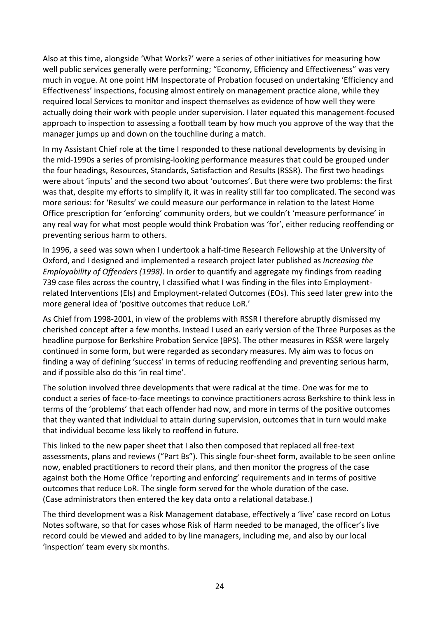Also at this time, alongside 'What Works?' were a series of other initiatives for measuring how well public services generally were performing; "Economy, Efficiency and Effectiveness" was very much in vogue. At one point HM Inspectorate of Probation focused on undertaking 'Efficiency and Effectiveness' inspections, focusing almost entirely on management practice alone, while they required local Services to monitor and inspect themselves as evidence of how well they were actually doing their work with people under supervision. I later equated this management-focused approach to inspection to assessing a football team by how much you approve of the way that the manager jumps up and down on the touchline during a match.

In my Assistant Chief role at the time I responded to these national developments by devising in the mid-1990s a series of promising-looking performance measures that could be grouped under the four headings, Resources, Standards, Satisfaction and Results (RSSR). The first two headings were about 'inputs' and the second two about 'outcomes'. But there were two problems: the first was that, despite my efforts to simplify it, it was in reality still far too complicated. The second was more serious: for 'Results' we could measure our performance in relation to the latest Home Office prescription for 'enforcing' community orders, but we couldn't 'measure performance' in any real way for what most people would think Probation was 'for', either reducing reoffending or preventing serious harm to others.

In 1996, a seed was sown when I undertook a half-time Research Fellowship at the University of Oxford, and I designed and implemented a research project later published as *Increasing the Employability of Offenders (1998)*. In order to quantify and aggregate my findings from reading 739 case files across the country, I classified what I was finding in the files into Employmentrelated Interventions (EIs) and Employment-related Outcomes (EOs). This seed later grew into the more general idea of 'positive outcomes that reduce LoR.'

As Chief from 1998-2001, in view of the problems with RSSR I therefore abruptly dismissed my cherished concept after a few months. Instead I used an early version of the Three Purposes as the headline purpose for Berkshire Probation Service (BPS). The other measures in RSSR were largely continued in some form, but were regarded as secondary measures. My aim was to focus on finding a way of defining 'success' in terms of reducing reoffending and preventing serious harm, and if possible also do this 'in real time'.

The solution involved three developments that were radical at the time. One was for me to conduct a series of face-to-face meetings to convince practitioners across Berkshire to think less in terms of the 'problems' that each offender had now, and more in terms of the positive outcomes that they wanted that individual to attain during supervision, outcomes that in turn would make that individual become less likely to reoffend in future.

This linked to the new paper sheet that I also then composed that replaced all free-text assessments, plans and reviews ("Part Bs"). This single four-sheet form, available to be seen online now, enabled practitioners to record their plans, and then monitor the progress of the case against both the Home Office 'reporting and enforcing' requirements and in terms of positive outcomes that reduce LoR. The single form served for the whole duration of the case. (Case administrators then entered the key data onto a relational database.)

The third development was a Risk Management database, effectively a 'live' case record on Lotus Notes software, so that for cases whose Risk of Harm needed to be managed, the officer's live record could be viewed and added to by line managers, including me, and also by our local 'inspection' team every six months.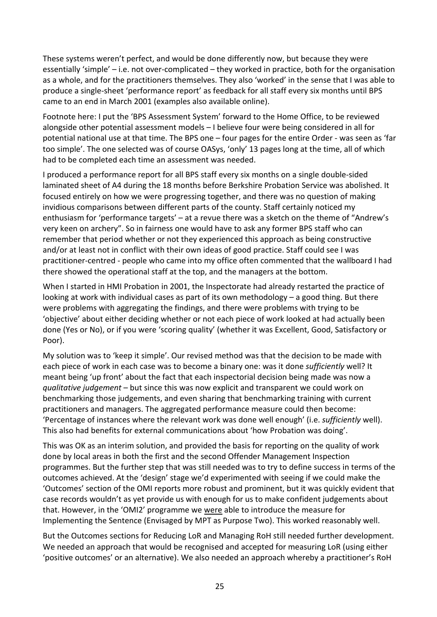These systems weren't perfect, and would be done differently now, but because they were essentially 'simple' – i.e. not over-complicated – they worked in practice, both for the organisation as a whole, and for the practitioners themselves. They also 'worked' in the sense that I was able to produce a single-sheet 'performance report' as feedback for all staff every six months until BPS came to an end in March 2001 (examples also available online).

Footnote here: I put the 'BPS Assessment System' forward to the Home Office, to be reviewed alongside other potential assessment models – I believe four were being considered in all for potential national use at that time. The BPS one – four pages for the entire Order - was seen as 'far too simple'. The one selected was of course OASys, 'only' 13 pages long at the time, all of which had to be completed each time an assessment was needed.

I produced a performance report for all BPS staff every six months on a single double-sided laminated sheet of A4 during the 18 months before Berkshire Probation Service was abolished. It focused entirely on how we were progressing together, and there was no question of making invidious comparisons between different parts of the county. Staff certainly noticed my enthusiasm for 'performance targets' – at a revue there was a sketch on the theme of "Andrew's very keen on archery". So in fairness one would have to ask any former BPS staff who can remember that period whether or not they experienced this approach as being constructive and/or at least not in conflict with their own ideas of good practice. Staff could see I was practitioner-centred - people who came into my office often commented that the wallboard I had there showed the operational staff at the top, and the managers at the bottom.

When I started in HMI Probation in 2001, the Inspectorate had already restarted the practice of looking at work with individual cases as part of its own methodology – a good thing. But there were problems with aggregating the findings, and there were problems with trying to be 'objective' about either deciding whether or not each piece of work looked at had actually been done (Yes or No), or if you were 'scoring quality' (whether it was Excellent, Good, Satisfactory or Poor).

My solution was to 'keep it simple'. Our revised method was that the decision to be made with each piece of work in each case was to become a binary one: was it done *sufficiently* well? It meant being 'up front' about the fact that each inspectorial decision being made was now a *qualitative judgement* – but since this was now explicit and transparent we could work on benchmarking those judgements, and even sharing that benchmarking training with current practitioners and managers. The aggregated performance measure could then become: 'Percentage of instances where the relevant work was done well enough' (i.e. *sufficiently* well). This also had benefits for external communications about 'how Probation was doing'.

This was OK as an interim solution, and provided the basis for reporting on the quality of work done by local areas in both the first and the second Offender Management Inspection programmes. But the further step that was still needed was to try to define success in terms of the outcomes achieved. At the 'design' stage we'd experimented with seeing if we could make the 'Outcomes' section of the OMI reports more robust and prominent, but it was quickly evident that case records wouldn't as yet provide us with enough for us to make confident judgements about that. However, in the 'OMI2' programme we were able to introduce the measure for Implementing the Sentence (Envisaged by MPT as Purpose Two). This worked reasonably well.

But the Outcomes sections for Reducing LoR and Managing RoH still needed further development. We needed an approach that would be recognised and accepted for measuring LoR (using either 'positive outcomes' or an alternative). We also needed an approach whereby a practitioner's RoH